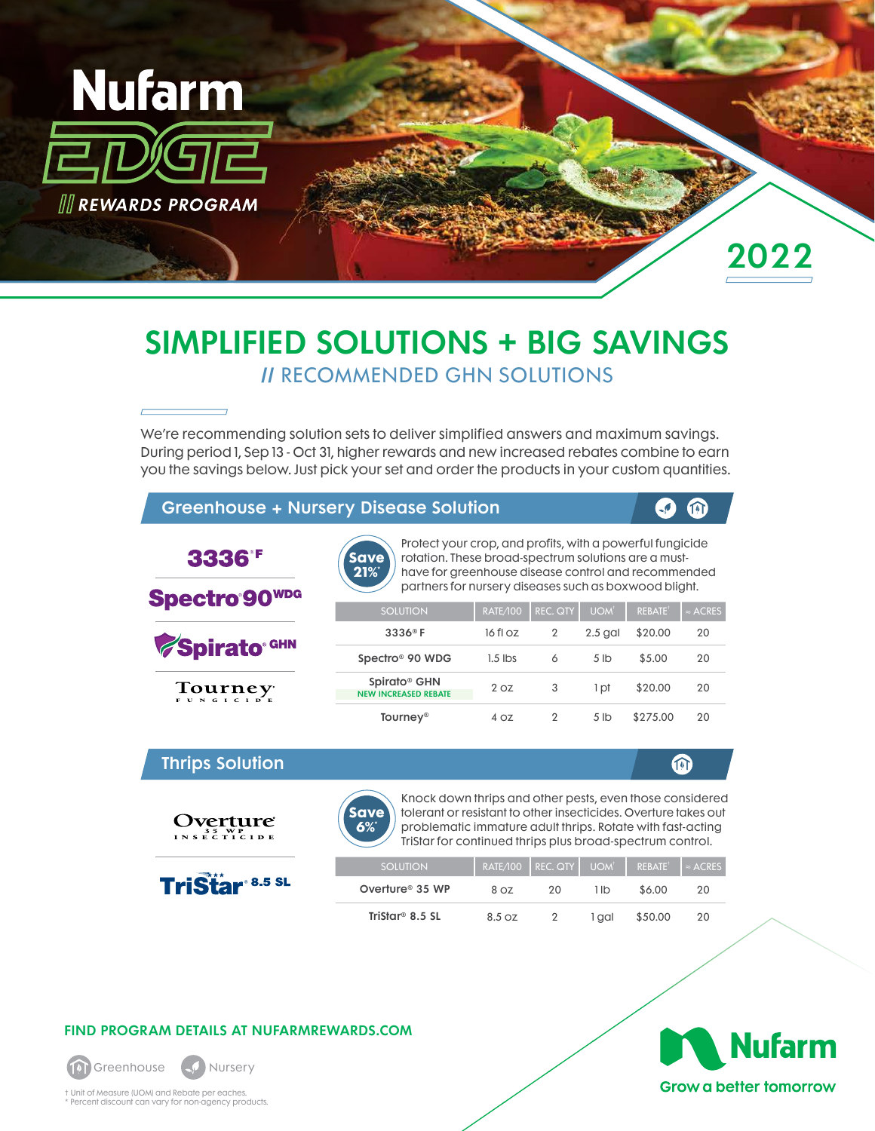

## SIMPLIFIED SOLUTIONS + BIG SAVINGS // RECOMMENDED GHN SOLUTIONS

We're recommending solution sets to deliver simplified answers and maximum savings. During period 1, Sep 13 - Oct 31, higher rewards and new increased rebates combine to earn you the savings below. Just pick your set and order the products in your custom quantities.

### Greenhouse + Nursery Disease Solution

**Save 21%\***

Protect your crop, and profits, with a powerful fungicide rotation. These broad-spectrum solutions are a musthave for greenhouse disease control and recommended

 $\sqrt{2}$ 

m

⋒

**Spectro 90WDG** 

3336<sup>°F</sup>

Spirato<sup>® GHN</sup>

 $T_{\text{e.g.}}$ 

Thrips Solution

Overture 1 N S E C T I C I D E

**TriStar 8.5 SL** 



partners for nursery diseases such as boxwood blight.

| <b>SOLUTION</b>                                         | RATE/100        | REC. QTY       | UOM <sup>t</sup> | <b>REBATE</b> | $\simeq$ ACRES |
|---------------------------------------------------------|-----------------|----------------|------------------|---------------|----------------|
| $3336^\circ$ F                                          | 16 fl oz        | $\overline{2}$ | $2.5$ gal        | \$20.00       | 20             |
| Spectro <sup>®</sup> 90 WDG                             | $1.5$ lbs       | 6              | 5 <sub>1b</sub>  | \$5.00        | 20             |
| Spirato <sup>®</sup> GHN<br><b>NEW INCREASED REBATE</b> | 2 <sub>OZ</sub> | 3              | 1 pt             | \$20.00       | 20             |
| <b>Tourney<sup>®</sup></b>                              | 4 OZ            | 2              | 5 <sub>1b</sub>  | \$275.00      | 20             |



Knock down thrips and other pests, even those considered tolerant or resistant to other insecticides. Overture takes out problematic immature adult thrips. Rotate with fast-acting TriStar for continued thrips plus broad-spectrum control.

| <b>SOLUTION</b>             |        | RATE/100 REC. QTY UOM |       | $REBATE^{\dagger}$ | $\sqrt{2 \times ACRES}$ |
|-----------------------------|--------|-----------------------|-------|--------------------|-------------------------|
| Overture <sup>®</sup> 35 WP | 8 OZ   | 20                    | 1 lb  | \$6.00             | 20                      |
| TriStar <sup>®</sup> 8.5 SL | 8.5 oz |                       | 1 aal | \$50.00            | 20                      |

### FIND PROGRAM DETAILS AT NUFARMREWARDS.COM



† Unit of Measure (UOM) and Rebate per eaches. \* Percent discount can vary for non-agency products.

# **Nufarm Grow a better tomorrow**